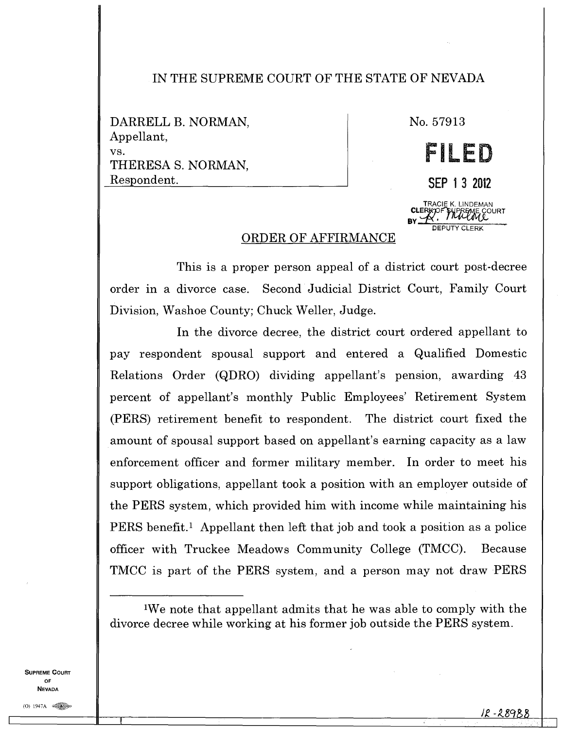## IN THE SUPREME COURT OF THE STATE OF NEVADA

DARRELL B. NORMAN, Appellant, vs. THERESA S. NORMAN, Respondent.

No. 57913

**41** 

18 <del>an Leòra</del>

**BY** 

**IS I Li im. D L** 

**SEP 1 3 2012** 

**CLERKOLE K. LINDEMAN<br><b>CLERKOF SYPREME COURT** 

DEPUTY CLERK

## ORDER OF AFFIRMANCE

This is a proper person appeal of a district court post-decree order in a divorce case. Second Judicial District Court, Family Court Division, Washoe County; Chuck Weller, Judge.

In the divorce decree, the district court ordered appellant to pay respondent spousal support and entered a Qualified Domestic Relations Order (QDRO) dividing appellant's pension, awarding 43 percent of appellant's monthly Public Employees' Retirement System (PERS) retirement benefit to respondent. The district court fixed the amount of spousal support based on appellant's earning capacity as a law enforcement officer and former military member. In order to meet his support obligations, appellant took a position with an employer outside of the PERS system, which provided him with income while maintaining his PERS benefit.<sup>1</sup> Appellant then left that job and took a position as a police officer with Truckee Meadows Community College (TMCC). Because TMCC is part of the PERS system, and a person may not draw PERS

SUPREME COURT OF **NEVADA** 

<sup>&#</sup>x27;We note that appellant admits that he was able to comply with the divorce decree while working at his former job outside the PERS system.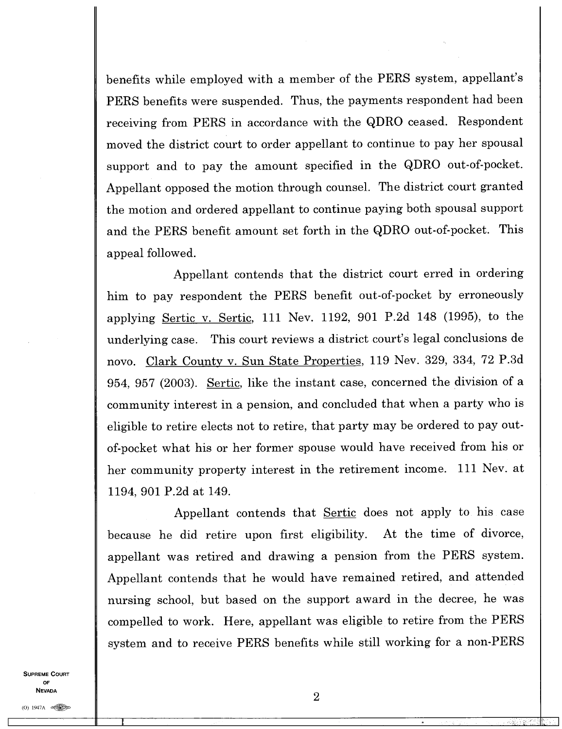benefits while employed with a member of the PERS system, appellant's PERS benefits were suspended. Thus, the payments respondent had been receiving from PERS in accordance with the QDRO ceased. Respondent moved the district court to order appellant to continue to pay her spousal support and to pay the amount specified in the QDRO out-of-pocket. Appellant opposed the motion through counsel. The district court granted the motion and ordered appellant to continue paying both spousal support and the PERS benefit amount set forth in the QDRO out-of-pocket. This appeal followed.

Appellant contends that the district court erred in ordering him to pay respondent the PERS benefit out-of-pocket by erroneously applying Sertic v. Sertic, 111 Nev. 1192, 901 P.2d 148 (1995), to the underlying case. This court reviews a district court's legal conclusions de novo. Clark County v. Sun State Properties, 119 Nev. 329, 334, 72 P.3d 954, 957 (2003). Sertic, like the instant case, concerned the division of a community interest in a pension, and concluded that when a party who is eligible to retire elects not to retire, that party may be ordered to pay outof-pocket what his or her former spouse would have received from his or her community property interest in the retirement income. 111 Nev. at 1194, 901 P.2d at 149.

Appellant contends that Sertic does not apply to his case because he did retire upon first eligibility. At the time of divorce, appellant was retired and drawing a pension from the PERS system. Appellant contends that he would have remained retired, and attended nursing school, but based on the support award in the decree, he was compelled to work. Here, appellant was eligible to retire from the PERS system and to receive PERS benefits while still working for a non-PERS

SUPREME COURT OF NEVADA